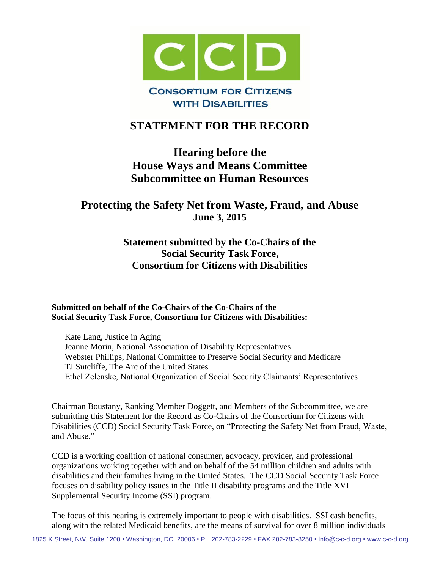

## **STATEMENT FOR THE RECORD**

# **Hearing before the House Ways and Means Committee Subcommittee on Human Resources**

## **Protecting the Safety Net from Waste, Fraud, and Abuse June 3, 2015**

## **Statement submitted by the Co-Chairs of the Social Security Task Force, Consortium for Citizens with Disabilities**

#### **Submitted on behalf of the Co-Chairs of the Co-Chairs of the Social Security Task Force, Consortium for Citizens with Disabilities:**

Kate Lang, Justice in Aging Jeanne Morin, National Association of Disability Representatives Webster Phillips, National Committee to Preserve Social Security and Medicare TJ Sutcliffe, The Arc of the United States Ethel Zelenske, National Organization of Social Security Claimants' Representatives

Chairman Boustany, Ranking Member Doggett, and Members of the Subcommittee, we are submitting this Statement for the Record as Co-Chairs of the Consortium for Citizens with Disabilities (CCD) Social Security Task Force, on "Protecting the Safety Net from Fraud, Waste, and Abuse."

CCD is a working coalition of national consumer, advocacy, provider, and professional organizations working together with and on behalf of the 54 million children and adults with disabilities and their families living in the United States. The CCD Social Security Task Force focuses on disability policy issues in the Title II disability programs and the Title XVI Supplemental Security Income (SSI) program.

The focus of this hearing is extremely important to people with disabilities. SSI cash benefits, along with the related Medicaid benefits, are the means of survival for over 8 million individuals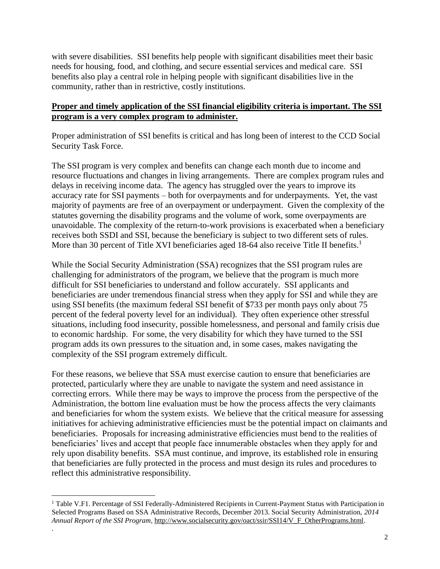with severe disabilities. SSI benefits help people with significant disabilities meet their basic needs for housing, food, and clothing, and secure essential services and medical care. SSI benefits also play a central role in helping people with significant disabilities live in the community, rather than in restrictive, costly institutions.

#### **Proper and timely application of the SSI financial eligibility criteria is important. The SSI program is a very complex program to administer.**

Proper administration of SSI benefits is critical and has long been of interest to the CCD Social Security Task Force.

The SSI program is very complex and benefits can change each month due to income and resource fluctuations and changes in living arrangements. There are complex program rules and delays in receiving income data. The agency has struggled over the years to improve its accuracy rate for SSI payments – both for overpayments and for underpayments. Yet, the vast majority of payments are free of an overpayment or underpayment. Given the complexity of the statutes governing the disability programs and the volume of work, some overpayments are unavoidable. The complexity of the return-to-work provisions is exacerbated when a beneficiary receives both SSDI and SSI, because the beneficiary is subject to two different sets of rules. More than 30 percent of Title XVI beneficiaries aged 18-64 also receive Title II benefits.<sup>1</sup>

While the Social Security Administration (SSA) recognizes that the SSI program rules are challenging for administrators of the program, we believe that the program is much more difficult for SSI beneficiaries to understand and follow accurately. SSI applicants and beneficiaries are under tremendous financial stress when they apply for SSI and while they are using SSI benefits (the maximum federal SSI benefit of \$733 per month pays only about 75 percent of the federal poverty level for an individual). They often experience other stressful situations, including food insecurity, possible homelessness, and personal and family crisis due to economic hardship. For some, the very disability for which they have turned to the SSI program adds its own pressures to the situation and, in some cases, makes navigating the complexity of the SSI program extremely difficult.

For these reasons, we believe that SSA must exercise caution to ensure that beneficiaries are protected, particularly where they are unable to navigate the system and need assistance in correcting errors. While there may be ways to improve the process from the perspective of the Administration, the bottom line evaluation must be how the process affects the very claimants and beneficiaries for whom the system exists. We believe that the critical measure for assessing initiatives for achieving administrative efficiencies must be the potential impact on claimants and beneficiaries. Proposals for increasing administrative efficiencies must bend to the realities of beneficiaries' lives and accept that people face innumerable obstacles when they apply for and rely upon disability benefits. SSA must continue, and improve, its established role in ensuring that beneficiaries are fully protected in the process and must design its rules and procedures to reflect this administrative responsibility.

 $\overline{a}$ 

.

<sup>&</sup>lt;sup>1</sup> Table V.F1. Percentage of SSI Federally-Administered Recipients in Current-Payment Status with Participation in Selected Programs Based on SSA Administrative Records, December 2013. Social Security Administration, *2014 Annual Report of the SSI Program*, [http://www.socialsecurity.gov/oact/ssir/SSI14/V\\_F\\_OtherPrograms.html.](http://www.socialsecurity.gov/oact/ssir/SSI14/V_F_OtherPrograms.html)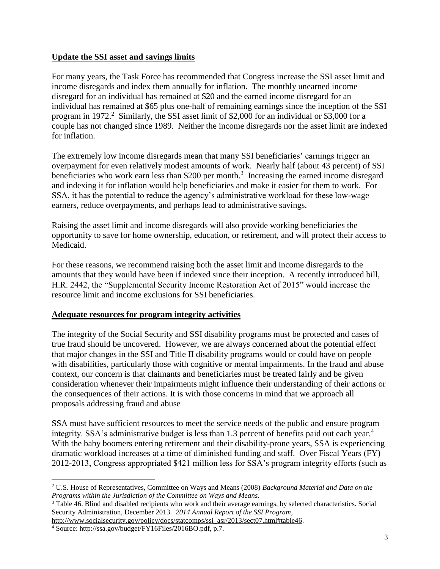#### **Update the SSI asset and savings limits**

For many years, the Task Force has recommended that Congress increase the SSI asset limit and income disregards and index them annually for inflation. The monthly unearned income disregard for an individual has remained at \$20 and the earned income disregard for an individual has remained at \$65 plus one-half of remaining earnings since the inception of the SSI program in 1972.<sup>2</sup> Similarly, the SSI asset limit of \$2,000 for an individual or \$3,000 for a couple has not changed since 1989. Neither the income disregards nor the asset limit are indexed for inflation.

The extremely low income disregards mean that many SSI beneficiaries' earnings trigger an overpayment for even relatively modest amounts of work. Nearly half (about 43 percent) of SSI beneficiaries who work earn less than \$200 per month.<sup>3</sup> Increasing the earned income disregard and indexing it for inflation would help beneficiaries and make it easier for them to work. For SSA, it has the potential to reduce the agency's administrative workload for these low-wage earners, reduce overpayments, and perhaps lead to administrative savings.

Raising the asset limit and income disregards will also provide working beneficiaries the opportunity to save for home ownership, education, or retirement, and will protect their access to Medicaid.

For these reasons, we recommend raising both the asset limit and income disregards to the amounts that they would have been if indexed since their inception. A recently introduced bill, H.R. 2442, the "Supplemental Security Income Restoration Act of 2015" would increase the resource limit and income exclusions for SSI beneficiaries.

#### **Adequate resources for program integrity activities**

The integrity of the Social Security and SSI disability programs must be protected and cases of true fraud should be uncovered. However, we are always concerned about the potential effect that major changes in the SSI and Title II disability programs would or could have on people with disabilities, particularly those with cognitive or mental impairments. In the fraud and abuse context, our concern is that claimants and beneficiaries must be treated fairly and be given consideration whenever their impairments might influence their understanding of their actions or the consequences of their actions. It is with those concerns in mind that we approach all proposals addressing fraud and abuse

SSA must have sufficient resources to meet the service needs of the public and ensure program integrity. SSA's administrative budget is less than 1.3 percent of benefits paid out each year.<sup>4</sup> With the baby boomers entering retirement and their disability-prone years, SSA is experiencing dramatic workload increases at a time of diminished funding and staff. Over Fiscal Years (FY) 2012-2013, Congress appropriated \$421 million less for SSA's program integrity efforts (such as

 $\overline{a}$ 

<sup>2</sup> U.S. House of Representatives, Committee on Ways and Means (2008) *Background Material and Data on the Programs within the Jurisdiction of the Committee on Ways and Means*.

<sup>&</sup>lt;sup>3</sup> Table 46. Blind and disabled recipients who work and their average earnings, by selected characteristics. Social Security Administration, December 2013. *2014 Annual Report of the SSI Program,*

[http://www.socialsecurity.gov/policy/docs/statcomps/ssi\\_asr/2013/sect07.html#table46.](http://www.socialsecurity.gov/policy/docs/statcomps/ssi_asr/2013/sect07.html#table46)

<sup>4</sup> Source: [http://ssa.gov/budget/FY16Files/2016BO.pdf,](http://ssa.gov/budget/FY16Files/2016BO.pdf) p.7.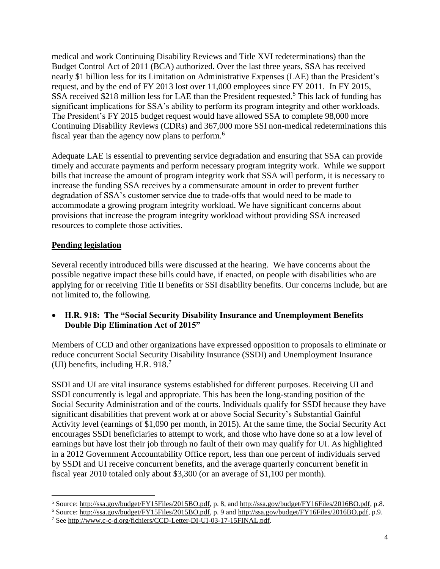medical and work Continuing Disability Reviews and Title XVI redeterminations) than the Budget Control Act of 2011 (BCA) authorized. Over the last three years, SSA has received nearly \$1 billion less for its Limitation on Administrative Expenses (LAE) than the President's request, and by the end of FY 2013 lost over 11,000 employees since FY 2011. In FY 2015, SSA received \$218 million less for LAE than the President requested.<sup>5</sup> This lack of funding has significant implications for SSA's ability to perform its program integrity and other workloads. The President's FY 2015 budget request would have allowed SSA to complete 98,000 more Continuing Disability Reviews (CDRs) and 367,000 more SSI non-medical redeterminations this fiscal year than the agency now plans to perform.<sup>6</sup>

Adequate LAE is essential to preventing service degradation and ensuring that SSA can provide timely and accurate payments and perform necessary program integrity work. While we support bills that increase the amount of program integrity work that SSA will perform, it is necessary to increase the funding SSA receives by a commensurate amount in order to prevent further degradation of SSA's customer service due to trade-offs that would need to be made to accommodate a growing program integrity workload. We have significant concerns about provisions that increase the program integrity workload without providing SSA increased resources to complete those activities.

#### **Pending legislation**

 $\overline{a}$ 

Several recently introduced bills were discussed at the hearing. We have concerns about the possible negative impact these bills could have, if enacted, on people with disabilities who are applying for or receiving Title II benefits or SSI disability benefits. Our concerns include, but are not limited to, the following.

 **H.R. 918: The "Social Security Disability Insurance and Unemployment Benefits Double Dip Elimination Act of 2015"** 

Members of CCD and other organizations have expressed opposition to proposals to eliminate or reduce concurrent Social Security Disability Insurance (SSDI) and Unemployment Insurance (UI) benefits, including H.R. 918.<sup>7</sup>

SSDI and UI are vital insurance systems established for different purposes. Receiving UI and SSDI concurrently is legal and appropriate. This has been the long-standing position of the Social Security Administration and of the courts. Individuals qualify for SSDI because they have significant disabilities that prevent work at or above Social Security's Substantial Gainful Activity level (earnings of \$1,090 per month, in 2015). At the same time, the Social Security Act encourages SSDI beneficiaries to attempt to work, and those who have done so at a low level of earnings but have lost their job through no fault of their own may qualify for UI. As highlighted in a 2012 Government Accountability Office report, less than one percent of individuals served by SSDI and UI receive concurrent benefits, and the average quarterly concurrent benefit in fiscal year 2010 totaled only about \$3,300 (or an average of \$1,100 per month).

<sup>5</sup> Source: [http://ssa.gov/budget/FY15Files/2015BO.pdf,](http://ssa.gov/budget/FY15Files/2015BO.pdf) p. 8, and [http://ssa.gov/budget/FY16Files/2016BO.pdf,](http://ssa.gov/budget/FY16Files/2016BO.pdf) p.8.

<sup>6</sup> Source: [http://ssa.gov/budget/FY15Files/2015BO.pdf,](http://ssa.gov/budget/FY15Files/2015BO.pdf) p. 9 and [http://ssa.gov/budget/FY16Files/2016BO.pdf,](http://ssa.gov/budget/FY16Files/2016BO.pdf) p.9.

<sup>7</sup> Se[e http://www.c-c-d.org/fichiers/CCD-Letter-DI-UI-03-17-15FINAL.pdf.](http://www.c-c-d.org/fichiers/CCD-Letter-DI-UI-03-17-15FINAL.pdf)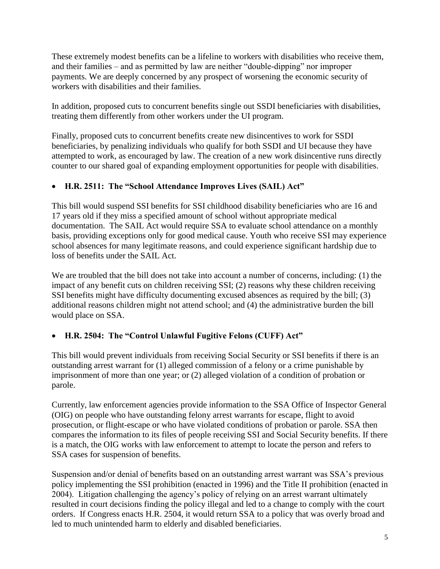These extremely modest benefits can be a lifeline to workers with disabilities who receive them, and their families – and as permitted by law are neither "double-dipping" nor improper payments. We are deeply concerned by any prospect of worsening the economic security of workers with disabilities and their families.

In addition, proposed cuts to concurrent benefits single out SSDI beneficiaries with disabilities, treating them differently from other workers under the UI program.

Finally, proposed cuts to concurrent benefits create new disincentives to work for SSDI beneficiaries, by penalizing individuals who qualify for both SSDI and UI because they have attempted to work, as encouraged by law. The creation of a new work disincentive runs directly counter to our shared goal of expanding employment opportunities for people with disabilities.

### **H.R. 2511: The "School Attendance Improves Lives (SAIL) Act"**

This bill would suspend SSI benefits for SSI childhood disability beneficiaries who are 16 and 17 years old if they miss a specified amount of school without appropriate medical documentation. The SAIL Act would require SSA to evaluate school attendance on a monthly basis, providing exceptions only for good medical cause. Youth who receive SSI may experience school absences for many legitimate reasons, and could experience significant hardship due to loss of benefits under the SAIL Act.

We are troubled that the bill does not take into account a number of concerns, including: (1) the impact of any benefit cuts on children receiving SSI; (2) reasons why these children receiving SSI benefits might have difficulty documenting excused absences as required by the bill; (3) additional reasons children might not attend school; and (4) the administrative burden the bill would place on SSA.

### **H.R. 2504: The "Control Unlawful Fugitive Felons (CUFF) Act"**

This bill would prevent individuals from receiving Social Security or SSI benefits if there is an outstanding arrest warrant for (1) alleged commission of a felony or a crime punishable by imprisonment of more than one year; or (2) alleged violation of a condition of probation or parole.

Currently, law enforcement agencies provide information to the SSA Office of Inspector General (OIG) on people who have outstanding felony arrest warrants for escape, flight to avoid prosecution, or flight-escape or who have violated conditions of probation or parole. SSA then compares the information to its files of people receiving SSI and Social Security benefits. If there is a match, the OIG works with law enforcement to attempt to locate the person and refers to SSA cases for suspension of benefits.

Suspension and/or denial of benefits based on an outstanding arrest warrant was SSA's previous policy implementing the SSI prohibition (enacted in 1996) and the Title II prohibition (enacted in 2004). Litigation challenging the agency's policy of relying on an arrest warrant ultimately resulted in court decisions finding the policy illegal and led to a change to comply with the court orders. If Congress enacts H.R. 2504, it would return SSA to a policy that was overly broad and led to much unintended harm to elderly and disabled beneficiaries.